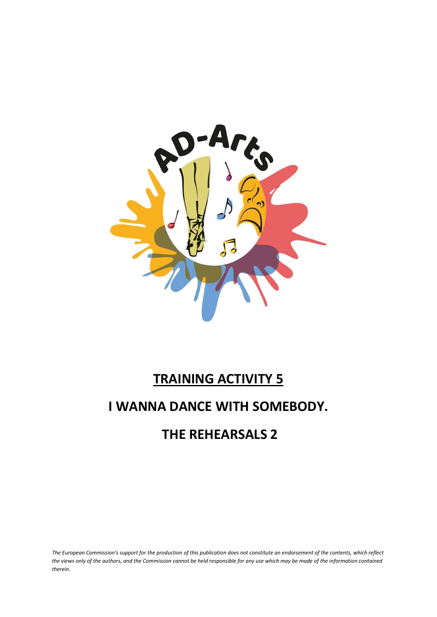

# **TRAINING ACTIVITY 5**

## **I WANNA DANCE WITH SOMEBODY.**

## **THE REHEARSALS 2**

*The European Commission's support for the production of this publication does not constitute an endorsement of the contents, which reflect the views only of the authors, and the Commission cannot be held responsible for any use which may be made of the information contained therein.*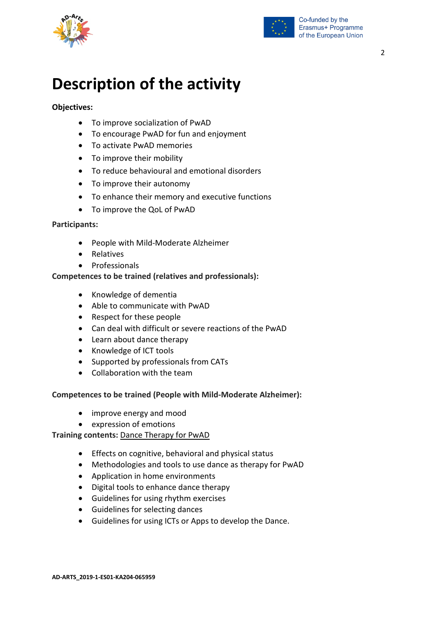



# **Description of the activity**

#### **Objectives:**

- To improve socialization of PwAD
- To encourage PwAD for fun and enjoyment
- To activate PwAD memories
- To improve their mobility
- To reduce behavioural and emotional disorders
- To improve their autonomy
- To enhance their memory and executive functions
- To improve the QoL of PwAD

#### **Participants:**

- People with Mild-Moderate Alzheimer
- Relatives
- Professionals

#### **Competences to be trained (relatives and professionals):**

- Knowledge of dementia
- Able to communicate with PwAD
- Respect for these people
- Can deal with difficult or severe reactions of the PwAD
- Learn about dance therapy
- Knowledge of ICT tools
- Supported by professionals from CATs
- Collaboration with the team

#### **Competences to be trained (People with Mild-Moderate Alzheimer):**

- improve energy and mood
- expression of emotions

#### **Training contents:** Dance Therapy for PwAD

- Effects on cognitive, behavioral and physical status
- Methodologies and tools to use dance as therapy for PwAD
- Application in home environments
- Digital tools to enhance dance therapy
- Guidelines for using rhythm exercises
- Guidelines for selecting dances
- Guidelines for using ICTs or Apps to develop the Dance.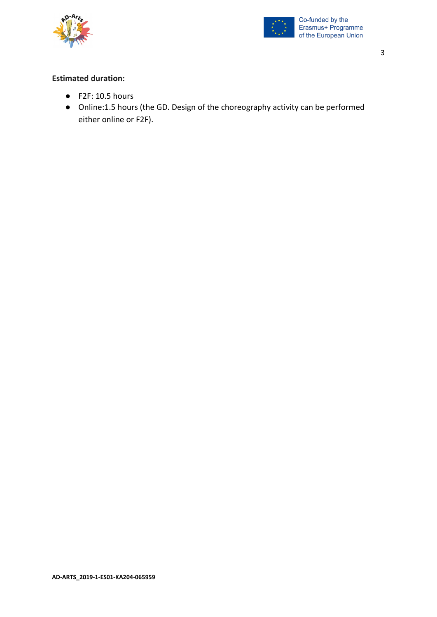



#### **Estimated duration:**

- F2F: 10.5 hours
- Online:1.5 hours (the GD. Design of the choreography activity can be performed either online or F2F).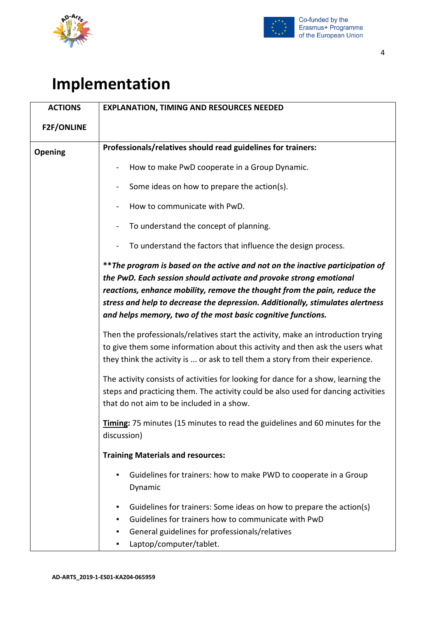



# **Implementation**

| <b>ACTIONS</b>    | <b>EXPLANATION, TIMING AND RESOURCES NEEDED</b>                                                                                                                                                                                                                                                                                                                                     |
|-------------------|-------------------------------------------------------------------------------------------------------------------------------------------------------------------------------------------------------------------------------------------------------------------------------------------------------------------------------------------------------------------------------------|
| <b>F2F/ONLINE</b> |                                                                                                                                                                                                                                                                                                                                                                                     |
| Opening           | Professionals/relatives should read guidelines for trainers:                                                                                                                                                                                                                                                                                                                        |
|                   | How to make PwD cooperate in a Group Dynamic.                                                                                                                                                                                                                                                                                                                                       |
|                   | Some ideas on how to prepare the action(s).                                                                                                                                                                                                                                                                                                                                         |
|                   | How to communicate with PwD.                                                                                                                                                                                                                                                                                                                                                        |
|                   |                                                                                                                                                                                                                                                                                                                                                                                     |
|                   | To understand the concept of planning.                                                                                                                                                                                                                                                                                                                                              |
|                   | To understand the factors that influence the design process.                                                                                                                                                                                                                                                                                                                        |
|                   | ** The program is based on the active and not on the inactive participation of<br>the PwD. Each session should activate and provoke strong emotional<br>reactions, enhance mobility, remove the thought from the pain, reduce the<br>stress and help to decrease the depression. Additionally, stimulates alertness<br>and helps memory, two of the most basic cognitive functions. |
|                   | Then the professionals/relatives start the activity, make an introduction trying<br>to give them some information about this activity and then ask the users what<br>they think the activity is  or ask to tell them a story from their experience.                                                                                                                                 |
|                   | The activity consists of activities for looking for dance for a show, learning the<br>steps and practicing them. The activity could be also used for dancing activities<br>that do not aim to be included in a show.                                                                                                                                                                |
|                   | <b>Timing:</b> 75 minutes (15 minutes to read the guidelines and 60 minutes for the<br>discussion)                                                                                                                                                                                                                                                                                  |
|                   | <b>Training Materials and resources:</b>                                                                                                                                                                                                                                                                                                                                            |
|                   | Guidelines for trainers: how to make PWD to cooperate in a Group<br>٠<br>Dynamic                                                                                                                                                                                                                                                                                                    |
|                   | Guidelines for trainers: Some ideas on how to prepare the action(s)<br>٠<br>Guidelines for trainers how to communicate with PwD<br>٠<br>General guidelines for professionals/relatives<br>٠<br>Laptop/computer/tablet.                                                                                                                                                              |

4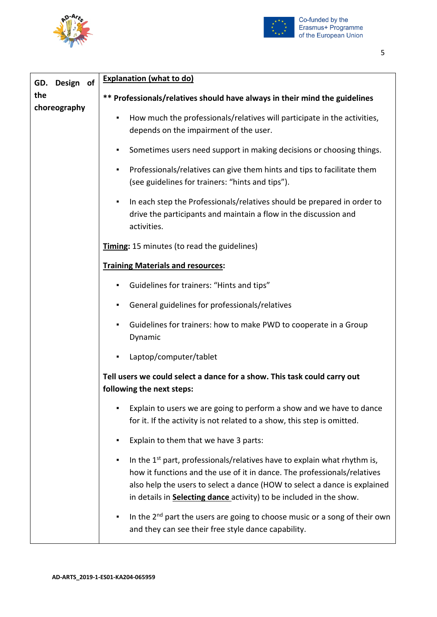



| Design of<br>GD.    | <b>Explanation (what to do)</b>                                                                                                                                                                                                                                                                                                  |
|---------------------|----------------------------------------------------------------------------------------------------------------------------------------------------------------------------------------------------------------------------------------------------------------------------------------------------------------------------------|
| the<br>choreography | ** Professionals/relatives should have always in their mind the guidelines                                                                                                                                                                                                                                                       |
|                     | How much the professionals/relatives will participate in the activities,<br>٠<br>depends on the impairment of the user.                                                                                                                                                                                                          |
|                     | Sometimes users need support in making decisions or choosing things.<br>٠                                                                                                                                                                                                                                                        |
|                     | Professionals/relatives can give them hints and tips to facilitate them<br>٠<br>(see guidelines for trainers: "hints and tips").                                                                                                                                                                                                 |
|                     | In each step the Professionals/relatives should be prepared in order to<br>٠<br>drive the participants and maintain a flow in the discussion and<br>activities.                                                                                                                                                                  |
|                     | Timing: 15 minutes (to read the guidelines)                                                                                                                                                                                                                                                                                      |
|                     | <b>Training Materials and resources:</b>                                                                                                                                                                                                                                                                                         |
|                     | Guidelines for trainers: "Hints and tips"<br>٠                                                                                                                                                                                                                                                                                   |
|                     | General guidelines for professionals/relatives<br>٠                                                                                                                                                                                                                                                                              |
|                     | Guidelines for trainers: how to make PWD to cooperate in a Group<br>٠<br>Dynamic                                                                                                                                                                                                                                                 |
|                     | Laptop/computer/tablet<br>٠                                                                                                                                                                                                                                                                                                      |
|                     | Tell users we could select a dance for a show. This task could carry out<br>following the next steps:                                                                                                                                                                                                                            |
|                     | Explain to users we are going to perform a show and we have to dance<br>for it. If the activity is not related to a show, this step is omitted.                                                                                                                                                                                  |
|                     | Explain to them that we have 3 parts:<br>٠                                                                                                                                                                                                                                                                                       |
|                     | In the 1 <sup>st</sup> part, professionals/relatives have to explain what rhythm is,<br>٠<br>how it functions and the use of it in dance. The professionals/relatives<br>also help the users to select a dance (HOW to select a dance is explained<br>in details in <b>Selecting dance</b> activity) to be included in the show. |
|                     | In the $2^{nd}$ part the users are going to choose music or a song of their own<br>٠<br>and they can see their free style dance capability.                                                                                                                                                                                      |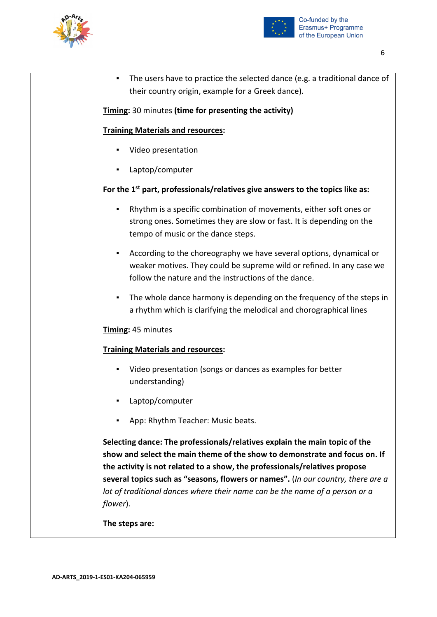



| ٠        | The users have to practice the selected dance (e.g. a traditional dance of                                                                                                                                                                                                                                                                                                                                |
|----------|-----------------------------------------------------------------------------------------------------------------------------------------------------------------------------------------------------------------------------------------------------------------------------------------------------------------------------------------------------------------------------------------------------------|
|          | their country origin, example for a Greek dance).                                                                                                                                                                                                                                                                                                                                                         |
|          | Timing: 30 minutes (time for presenting the activity)                                                                                                                                                                                                                                                                                                                                                     |
|          | <b>Training Materials and resources:</b>                                                                                                                                                                                                                                                                                                                                                                  |
| ٠        | Video presentation                                                                                                                                                                                                                                                                                                                                                                                        |
| ٠        | Laptop/computer                                                                                                                                                                                                                                                                                                                                                                                           |
|          | For the 1 <sup>st</sup> part, professionals/relatives give answers to the topics like as:                                                                                                                                                                                                                                                                                                                 |
| ٠        | Rhythm is a specific combination of movements, either soft ones or<br>strong ones. Sometimes they are slow or fast. It is depending on the<br>tempo of music or the dance steps.                                                                                                                                                                                                                          |
| ٠        | According to the choreography we have several options, dynamical or<br>weaker motives. They could be supreme wild or refined. In any case we<br>follow the nature and the instructions of the dance.                                                                                                                                                                                                      |
| ٠        | The whole dance harmony is depending on the frequency of the steps in<br>a rhythm which is clarifying the melodical and chorographical lines                                                                                                                                                                                                                                                              |
|          | Timing: 45 minutes                                                                                                                                                                                                                                                                                                                                                                                        |
|          | <b>Training Materials and resources:</b>                                                                                                                                                                                                                                                                                                                                                                  |
| ٠        | Video presentation (songs or dances as examples for better<br>understanding)                                                                                                                                                                                                                                                                                                                              |
| ٠        | Laptop/computer                                                                                                                                                                                                                                                                                                                                                                                           |
| ٠        | App: Rhythm Teacher: Music beats.                                                                                                                                                                                                                                                                                                                                                                         |
| flower). | Selecting dance: The professionals/relatives explain the main topic of the<br>show and select the main theme of the show to demonstrate and focus on. If<br>the activity is not related to a show, the professionals/relatives propose<br>several topics such as "seasons, flowers or names". (In our country, there are a<br>lot of traditional dances where their name can be the name of a person or a |
|          |                                                                                                                                                                                                                                                                                                                                                                                                           |

**The steps are:**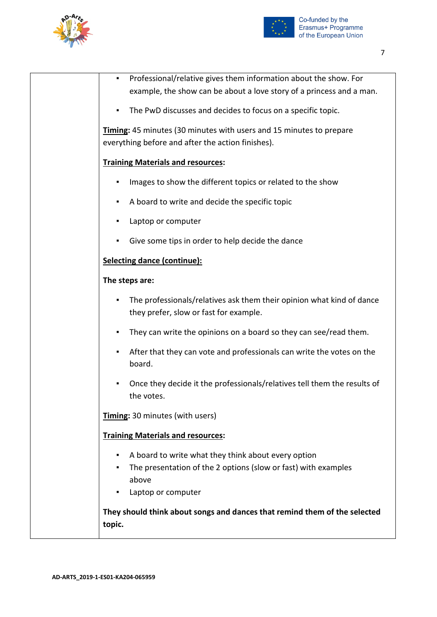



| ٠              | Professional/relative gives them information about the show. For<br>example, the show can be about a love story of a princess and a man.             |
|----------------|------------------------------------------------------------------------------------------------------------------------------------------------------|
| ٠              | The PwD discusses and decides to focus on a specific topic.                                                                                          |
|                | Timing: 45 minutes (30 minutes with users and 15 minutes to prepare<br>everything before and after the action finishes).                             |
|                | <b>Training Materials and resources:</b>                                                                                                             |
| ٠              | Images to show the different topics or related to the show                                                                                           |
| ٠              | A board to write and decide the specific topic                                                                                                       |
| ٠              | Laptop or computer                                                                                                                                   |
| ٠              | Give some tips in order to help decide the dance                                                                                                     |
|                | <b>Selecting dance (continue):</b>                                                                                                                   |
| The steps are: |                                                                                                                                                      |
|                | The professionals/relatives ask them their opinion what kind of dance<br>they prefer, slow or fast for example.                                      |
| ٠              | They can write the opinions on a board so they can see/read them.                                                                                    |
| ٠              | After that they can vote and professionals can write the votes on the<br>board.                                                                      |
| ٠              | Once they decide it the professionals/relatives tell them the results of<br>the votes.                                                               |
|                | Timing: 30 minutes (with users)                                                                                                                      |
|                | <b>Training Materials and resources:</b>                                                                                                             |
| ٠<br>٠         | A board to write what they think about every option<br>The presentation of the 2 options (slow or fast) with examples<br>above<br>Laptop or computer |
| topic.         | They should think about songs and dances that remind them of the selected                                                                            |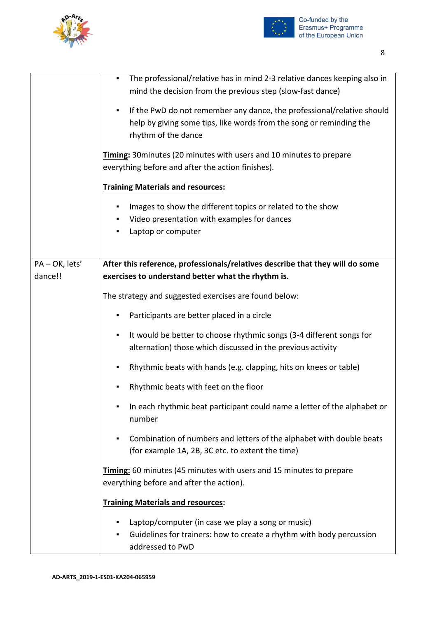



▪ The professional/relative has in mind 2-3 relative dances keeping also in

|              | mind the decision from the previous step (slow-fast dance)                                                                                                                             |
|--------------|----------------------------------------------------------------------------------------------------------------------------------------------------------------------------------------|
|              | If the PwD do not remember any dance, the professional/relative should<br>$\blacksquare$<br>help by giving some tips, like words from the song or reminding the<br>rhythm of the dance |
|              | Timing: 30 minutes (20 minutes with users and 10 minutes to prepare<br>everything before and after the action finishes).                                                               |
|              | <b>Training Materials and resources:</b>                                                                                                                                               |
|              | Images to show the different topics or related to the show<br>٠<br>Video presentation with examples for dances<br>٠<br>Laptop or computer<br>٠                                         |
| PA-OK, lets' | After this reference, professionals/relatives describe that they will do some                                                                                                          |
| dance!!      | exercises to understand better what the rhythm is.                                                                                                                                     |
|              | The strategy and suggested exercises are found below:                                                                                                                                  |
|              | Participants are better placed in a circle                                                                                                                                             |
|              | It would be better to choose rhythmic songs (3-4 different songs for<br>٠<br>alternation) those which discussed in the previous activity                                               |
|              | Rhythmic beats with hands (e.g. clapping, hits on knees or table)<br>٠                                                                                                                 |
|              | Rhythmic beats with feet on the floor<br>٠                                                                                                                                             |
|              | In each rhythmic beat participant could name a letter of the alphabet or<br>٠<br>number                                                                                                |
|              | Combination of numbers and letters of the alphabet with double beats<br>٠<br>(for example 1A, 2B, 3C etc. to extent the time)                                                          |
|              | Timing: 60 minutes (45 minutes with users and 15 minutes to prepare<br>everything before and after the action).                                                                        |
|              | <b>Training Materials and resources:</b>                                                                                                                                               |
|              | Laptop/computer (in case we play a song or music)<br>٠<br>Guidelines for trainers: how to create a rhythm with body percussion<br>٠<br>addressed to PwD                                |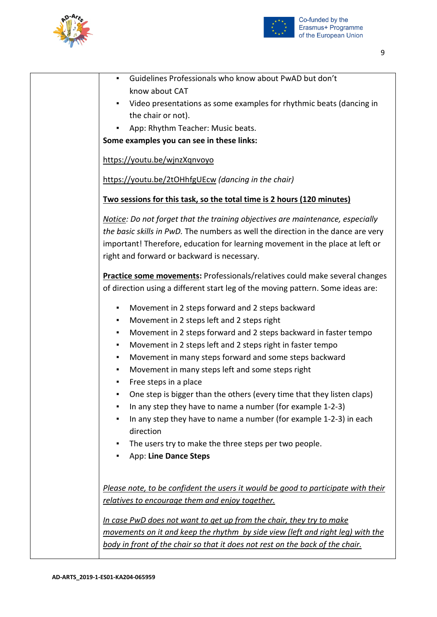



| Guidelines Professionals who know about PwAD but don't<br>٠                           |  |
|---------------------------------------------------------------------------------------|--|
| know about CAT                                                                        |  |
| Video presentations as some examples for rhythmic beats (dancing in<br>$\blacksquare$ |  |
| the chair or not).                                                                    |  |
| App: Rhythm Teacher: Music beats.                                                     |  |
| Some examples you can see in these links:                                             |  |
| https://youtu.be/wjnzXgnvoyo                                                          |  |
| https://youtu.be/2tOHhfgUEcw (dancing in the chair)                                   |  |
| Two sessions for this task, so the total time is 2 hours (120 minutes)                |  |
| Notice: Do not forget that the training objectives are maintenance, especially        |  |
| the basic skills in PwD. The numbers as well the direction in the dance are very      |  |
| important! Therefore, education for learning movement in the place at left or         |  |
| right and forward or backward is necessary.                                           |  |
| <b>Practice some movements:</b> Professionals/relatives could make several changes    |  |
| of direction using a different start leg of the moving pattern. Some ideas are:       |  |
| Movement in 2 steps forward and 2 steps backward<br>٠                                 |  |
| Movement in 2 steps left and 2 steps right<br>٠                                       |  |
| Movement in 2 steps forward and 2 steps backward in faster tempo<br>٠                 |  |
| Movement in 2 steps left and 2 steps right in faster tempo<br>٠                       |  |
| Movement in many steps forward and some steps backward<br>٠                           |  |
| Movement in many steps left and some steps right<br>٠                                 |  |
| Free steps in a place<br>٠                                                            |  |
| One step is bigger than the others (every time that they listen claps)                |  |
| In any step they have to name a number (for example 1-2-3)                            |  |
| In any step they have to name a number (for example 1-2-3) in each<br>٠               |  |
| direction                                                                             |  |
| The users try to make the three steps per two people.                                 |  |
| App: Line Dance Steps<br>٠                                                            |  |
|                                                                                       |  |
| Please note, to be confident the users it would be good to participate with their     |  |
| relatives to encourage them and enjoy together.                                       |  |
|                                                                                       |  |
| In case PwD does not want to get up from the chair, they try to make                  |  |
| movements on it and keep the rhythm by side view (left and right leg) with the        |  |
| body in front of the chair so that it does not rest on the back of the chair.         |  |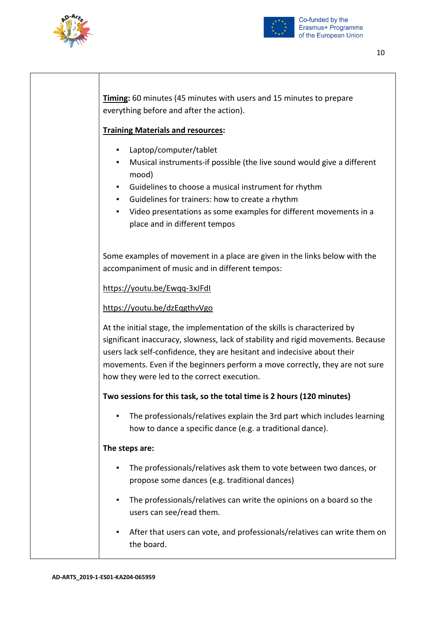



**Timing:** 60 minutes (45 minutes with users and 15 minutes to prepare everything before and after the action).

## **Training Materials and resources:**

- Laptop/computer/tablet
- Musical instruments-if possible (the live sound would give a different mood)
- Guidelines to choose a musical instrument for rhythm
- Guidelines for trainers: how to create a rhythm
- Video presentations as some examples for different movements in a place and in different tempos

Some examples of movement in a place are given in the links below with the accompaniment of music and in different tempos:

<https://youtu.be/Ewqq-3xJFdI>

## <https://youtu.be/dzEqgthvVgo>

At the initial stage, the implementation of the skills is characterized by significant inaccuracy, slowness, lack of stability and rigid movements. Because users lack self-confidence, they are hesitant and indecisive about their movements. Even if the beginners perform a move correctly, they are not sure how they were led to the correct execution.

## **Two sessions for this task, so the total time is 2 hours (120 minutes)**

The professionals/relatives explain the 3rd part which includes learning how to dance a specific dance (e.g. a traditional dance).

#### **The steps are:**

- The professionals/relatives ask them to vote between two dances, or propose some dances (e.g. traditional dances)
- The professionals/relatives can write the opinions on a board so the users can see/read them.
- After that users can vote, and professionals/relatives can write them on the board.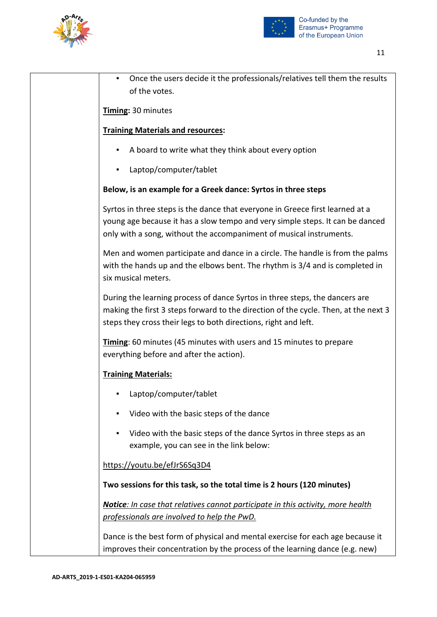



| Once the users decide it the professionals/relatives tell them the results<br>of the votes.                                                                                                                                           |
|---------------------------------------------------------------------------------------------------------------------------------------------------------------------------------------------------------------------------------------|
| Timing: 30 minutes                                                                                                                                                                                                                    |
| <b>Training Materials and resources:</b>                                                                                                                                                                                              |
| A board to write what they think about every option                                                                                                                                                                                   |
| Laptop/computer/tablet                                                                                                                                                                                                                |
| Below, is an example for a Greek dance: Syrtos in three steps                                                                                                                                                                         |
| Syrtos in three steps is the dance that everyone in Greece first learned at a<br>young age because it has a slow tempo and very simple steps. It can be danced<br>only with a song, without the accompaniment of musical instruments. |
| Men and women participate and dance in a circle. The handle is from the palms<br>with the hands up and the elbows bent. The rhythm is 3/4 and is completed in<br>six musical meters.                                                  |
| During the learning process of dance Syrtos in three steps, the dancers are<br>making the first 3 steps forward to the direction of the cycle. Then, at the next 3<br>steps they cross their legs to both directions, right and left. |
| Timing: 60 minutes (45 minutes with users and 15 minutes to prepare<br>everything before and after the action).                                                                                                                       |
| <b>Training Materials:</b>                                                                                                                                                                                                            |
| Laptop/computer/tablet                                                                                                                                                                                                                |
| Video with the basic steps of the dance                                                                                                                                                                                               |
| Video with the basic steps of the dance Syrtos in three steps as an<br>٠<br>example, you can see in the link below:                                                                                                                   |
| https://youtu.be/efJrS6Sq3D4                                                                                                                                                                                                          |
| Two sessions for this task, so the total time is 2 hours (120 minutes)                                                                                                                                                                |
| Notice: In case that relatives cannot participate in this activity, more health<br>professionals are involved to help the PwD.                                                                                                        |
| Dance is the best form of physical and mental exercise for each age because it<br>improves their concentration by the process of the learning dance (e.g. new)                                                                        |